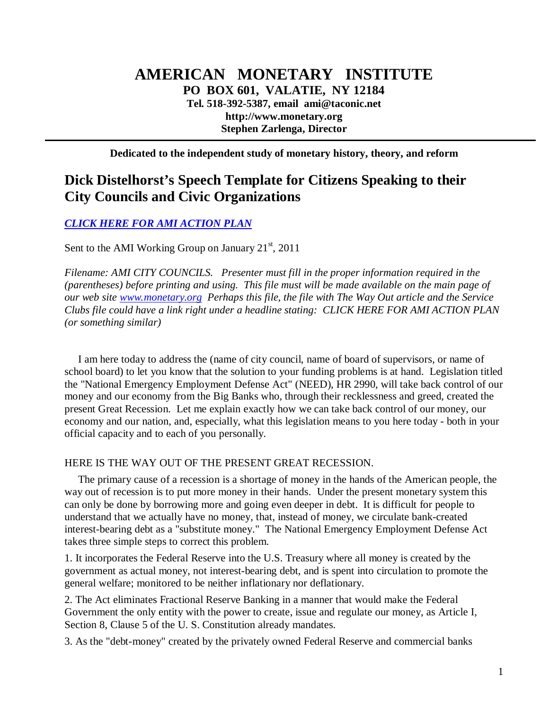# **AMERICAN MONETARY INSTITUTE PO BOX 601, VALATIE, NY 12184 Tel. 518-392-5387, email ami@taconic.net http://www.monetary.org Stephen Zarlenga, Director**

**Dedicated to the independent study of monetary history, theory, and reform** 

# **Dick Distelhorst's Speech Template for Citizens Speaking to their City Councils and Civic Organizations**

*[CLICK HERE FOR AMI ACTION PLAN](http://www.monetary.org/actionplan)*

Sent to the AMI Working Group on January  $21<sup>st</sup>$ , 2011

*Filename: AMI CITY COUNCILS. Presenter must fill in the proper information required in the (parentheses) before printing and using. This file must will be made available on the main page of our web site www.monetary.org Perhaps this file, the file with The Way Out article and the Service Clubs file could have a link right under a headline stating: CLICK HERE FOR AMI ACTION PLAN (or something similar)* 

 I am here today to address the (name of city council, name of board of supervisors, or name of school board) to let you know that the solution to your funding problems is at hand. Legislation titled the "National Emergency Employment Defense Act" (NEED), HR 2990, will take back control of our money and our economy from the Big Banks who, through their recklessness and greed, created the present Great Recession. Let me explain exactly how we can take back control of our money, our economy and our nation, and, especially, what this legislation means to you here today - both in your official capacity and to each of you personally.

HERE IS THE WAY OUT OF THE PRESENT GREAT RECESSION.

 The primary cause of a recession is a shortage of money in the hands of the American people, the way out of recession is to put more money in their hands. Under the present monetary system this can only be done by borrowing more and going even deeper in debt. It is difficult for people to understand that we actually have no money, that, instead of money, we circulate bank-created interest-bearing debt as a "substitute money." The National Emergency Employment Defense Act takes three simple steps to correct this problem.

1. It incorporates the Federal Reserve into the U.S. Treasury where all money is created by the government as actual money, not interest-bearing debt, and is spent into circulation to promote the general welfare; monitored to be neither inflationary nor deflationary.

2. The Act eliminates Fractional Reserve Banking in a manner that would make the Federal Government the only entity with the power to create, issue and regulate our money, as Article I, Section 8, Clause 5 of the U. S. Constitution already mandates.

3. As the "debt-money" created by the privately owned Federal Reserve and commercial banks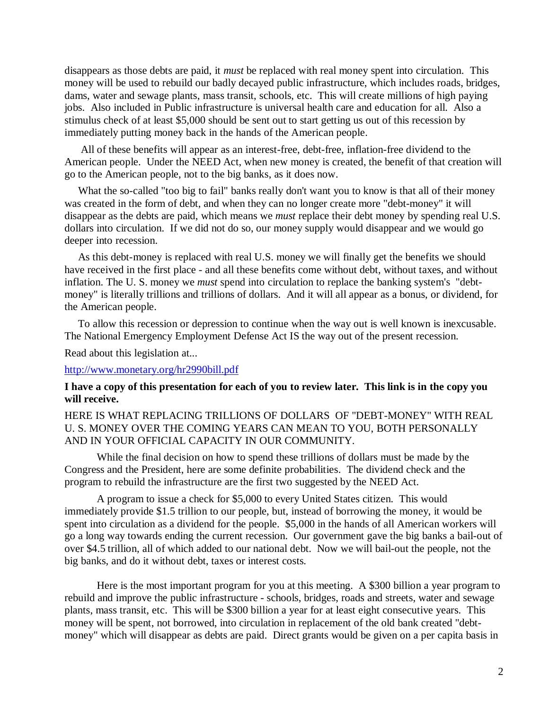disappears as those debts are paid, it *must* be replaced with real money spent into circulation. This money will be used to rebuild our badly decayed public infrastructure, which includes roads, bridges, dams, water and sewage plants, mass transit, schools, etc. This will create millions of high paying jobs. Also included in Public infrastructure is universal health care and education for all. Also a stimulus check of at least \$5,000 should be sent out to start getting us out of this recession by immediately putting money back in the hands of the American people.

 All of these benefits will appear as an interest-free, debt-free, inflation-free dividend to the American people. Under the NEED Act, when new money is created, the benefit of that creation will go to the American people, not to the big banks, as it does now.

What the so-called "too big to fail" banks really don't want you to know is that all of their money was created in the form of debt, and when they can no longer create more "debt-money" it will disappear as the debts are paid, which means we *must* replace their debt money by spending real U.S. dollars into circulation. If we did not do so, our money supply would disappear and we would go deeper into recession.

 As this debt-money is replaced with real U.S. money we will finally get the benefits we should have received in the first place - and all these benefits come without debt, without taxes, and without inflation. The U. S. money we *must* spend into circulation to replace the banking system's "debtmoney" is literally trillions and trillions of dollars. And it will all appear as a bonus, or dividend, for the American people.

 To allow this recession or depression to continue when the way out is well known is inexcusable. The National Emergency Employment Defense Act IS the way out of the present recession.

Read about this legislation at...

#### <http://www.monetary.org/hr2990bill.pdf>

#### **I have a copy of this presentation for each of you to review later. This link is in the copy you will receive.**

HERE IS WHAT REPLACING TRILLIONS OF DOLLARS OF "DEBT-MONEY" WITH REAL U. S. MONEY OVER THE COMING YEARS CAN MEAN TO YOU, BOTH PERSONALLY AND IN YOUR OFFICIAL CAPACITY IN OUR COMMUNITY.

 While the final decision on how to spend these trillions of dollars must be made by the Congress and the President, here are some definite probabilities. The dividend check and the program to rebuild the infrastructure are the first two suggested by the NEED Act.

A program to issue a check for \$5,000 to every United States citizen. This would immediately provide \$1.5 trillion to our people, but, instead of borrowing the money, it would be spent into circulation as a dividend for the people. \$5,000 in the hands of all American workers will go a long way towards ending the current recession. Our government gave the big banks a bail-out of over \$4.5 trillion, all of which added to our national debt. Now we will bail-out the people, not the big banks, and do it without debt, taxes or interest costs.

Here is the most important program for you at this meeting. A \$300 billion a year program to rebuild and improve the public infrastructure - schools, bridges, roads and streets, water and sewage plants, mass transit, etc. This will be \$300 billion a year for at least eight consecutive years. This money will be spent, not borrowed, into circulation in replacement of the old bank created "debtmoney" which will disappear as debts are paid. Direct grants would be given on a per capita basis in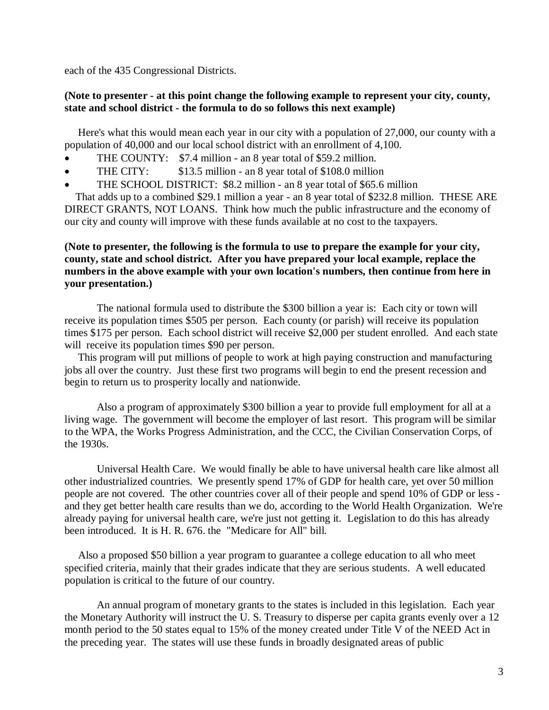each of the 435 Congressional Districts.

### **(Note to presenter - at this point change the following example to represent your city, county, state and school district - the formula to do so follows this next example)**

 Here's what this would mean each year in our city with a population of 27,000, our county with a population of 40,000 and our local school district with an enrollment of 4,100.

- THE COUNTY: \$7.4 million an 8 year total of \$59.2 million.
- THE CITY: \$13.5 million an 8 year total of \$108.0 million
- THE SCHOOL DISTRICT: \$8.2 million an 8 year total of \$65.6 million

 That adds up to a combined \$29.1 million a year - an 8 year total of \$232.8 million. THESE ARE DIRECT GRANTS, NOT LOANS. Think how much the public infrastructure and the economy of our city and county will improve with these funds available at no cost to the taxpayers.

## **(Note to presenter, the following is the formula to use to prepare the example for your city, county, state and school district. After you have prepared your local example, replace the numbers in the above example with your own location's numbers, then continue from here in your presentation.)**

The national formula used to distribute the \$300 billion a year is: Each city or town will receive its population times \$505 per person. Each county (or parish) will receive its population times \$175 per person. Each school district will receive \$2,000 per student enrolled. And each state will receive its population times \$90 per person.

 This program will put millions of people to work at high paying construction and manufacturing jobs all over the country. Just these first two programs will begin to end the present recession and begin to return us to prosperity locally and nationwide.

Also a program of approximately \$300 billion a year to provide full employment for all at a living wage. The government will become the employer of last resort. This program will be similar to the WPA, the Works Progress Administration, and the CCC, the Civilian Conservation Corps, of the 1930s.

Universal Health Care. We would finally be able to have universal health care like almost all other industrialized countries. We presently spend 17% of GDP for health care, yet over 50 million people are not covered. The other countries cover all of their people and spend 10% of GDP or less and they get better health care results than we do, according to the World Health Organization. We're already paying for universal health care, we're just not getting it. Legislation to do this has already been introduced. It is H. R. 676. the "Medicare for All" bill.

 Also a proposed \$50 billion a year program to guarantee a college education to all who meet specified criteria, mainly that their grades indicate that they are serious students. A well educated population is critical to the future of our country.

An annual program of monetary grants to the states is included in this legislation. Each year the Monetary Authority will instruct the U. S. Treasury to disperse per capita grants evenly over a 12 month period to the 50 states equal to 15% of the money created under Title V of the NEED Act in the preceding year. The states will use these funds in broadly designated areas of public